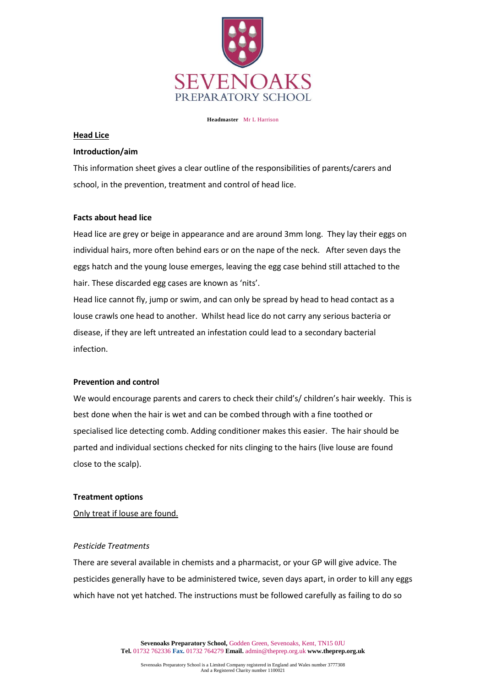

#### **Headmaster** Mr L Harrison

#### **Head Lice**

#### **Introduction/aim**

This information sheet gives a clear outline of the responsibilities of parents/carers and school, in the prevention, treatment and control of head lice.

## **Facts about head lice**

Head lice are grey or beige in appearance and are around 3mm long. They lay their eggs on individual hairs, more often behind ears or on the nape of the neck. After seven days the eggs hatch and the young louse emerges, leaving the egg case behind still attached to the hair. These discarded egg cases are known as 'nits'.

Head lice cannot fly, jump or swim, and can only be spread by head to head contact as a louse crawls one head to another. Whilst head lice do not carry any serious bacteria or disease, if they are left untreated an infestation could lead to a secondary bacterial infection.

## **Prevention and control**

We would encourage parents and carers to check their child's/ children's hair weekly. This is best done when the hair is wet and can be combed through with a fine toothed or specialised lice detecting comb. Adding conditioner makes this easier. The hair should be parted and individual sections checked for nits clinging to the hairs (live louse are found close to the scalp).

## **Treatment options**

Only treat if louse are found.

## *Pesticide Treatments*

There are several available in chemists and a pharmacist, or your GP will give advice. The pesticides generally have to be administered twice, seven days apart, in order to kill any eggs which have not yet hatched. The instructions must be followed carefully as failing to do so